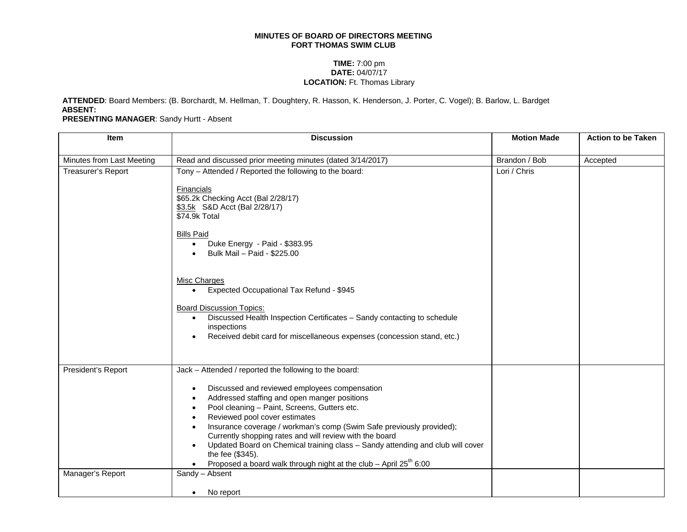## **MINUTES OF BOARD OF DIRECTORS MEETING FORT THOMAS SWIM CLUB**

## **TIME:** 7:00 pm **DATE:** 04/07/17 **LOCATION:** Ft. Thomas Library

**ATTENDED**: Board Members: (B. Borchardt, M. Hellman, T. Doughtery, R. Hasson, K. Henderson, J. Porter, C. Vogel); B. Barlow, L. Bardget **ABSENT:**

**PRESENTING MANAGER**: Sandy Hurtt - Absent

| <b>Item</b>               | <b>Discussion</b>                                                                                                                                                                                                                                                                                                                                                                                                                                                                                 | <b>Motion Made</b> | <b>Action to be Taken</b> |
|---------------------------|---------------------------------------------------------------------------------------------------------------------------------------------------------------------------------------------------------------------------------------------------------------------------------------------------------------------------------------------------------------------------------------------------------------------------------------------------------------------------------------------------|--------------------|---------------------------|
| Minutes from Last Meeting | Read and discussed prior meeting minutes (dated 3/14/2017)                                                                                                                                                                                                                                                                                                                                                                                                                                        | Brandon / Bob      | Accepted                  |
| Treasurer's Report        | Tony - Attended / Reported the following to the board:                                                                                                                                                                                                                                                                                                                                                                                                                                            | Lori / Chris       |                           |
|                           | <b>Financials</b><br>\$65.2k Checking Acct (Bal 2/28/17)<br>\$3.5k S&D Acct (Bal 2/28/17)<br>\$74.9k Total<br><b>Bills Paid</b>                                                                                                                                                                                                                                                                                                                                                                   |                    |                           |
|                           | Duke Energy - Paid - \$383.95<br>Bulk Mail - Paid - \$225.00                                                                                                                                                                                                                                                                                                                                                                                                                                      |                    |                           |
|                           | Misc Charges<br>Expected Occupational Tax Refund - \$945                                                                                                                                                                                                                                                                                                                                                                                                                                          |                    |                           |
|                           | <b>Board Discussion Topics:</b><br>Discussed Health Inspection Certificates - Sandy contacting to schedule<br>inspections<br>Received debit card for miscellaneous expenses (concession stand, etc.)                                                                                                                                                                                                                                                                                              |                    |                           |
| President's Report        | Jack - Attended / reported the following to the board:                                                                                                                                                                                                                                                                                                                                                                                                                                            |                    |                           |
|                           | Discussed and reviewed employees compensation<br>Addressed staffing and open manger positions<br>Pool cleaning - Paint, Screens, Gutters etc.<br>Reviewed pool cover estimates<br>Insurance coverage / workman's comp (Swim Safe previously provided);<br>Currently shopping rates and will review with the board<br>Updated Board on Chemical training class - Sandy attending and club will cover<br>the fee (\$345).<br>Proposed a board walk through night at the club - April $25^{th}$ 6:00 |                    |                           |
| Manager's Report          | Sandy - Absent<br>No report<br>$\bullet$                                                                                                                                                                                                                                                                                                                                                                                                                                                          |                    |                           |